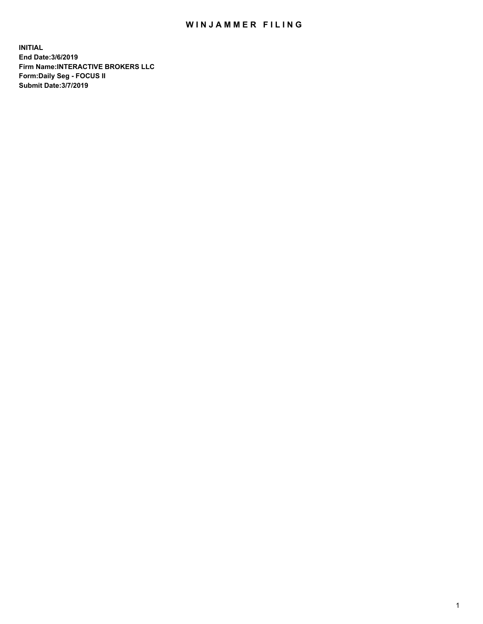## WIN JAMMER FILING

**INITIAL End Date:3/6/2019 Firm Name:INTERACTIVE BROKERS LLC Form:Daily Seg - FOCUS II Submit Date:3/7/2019**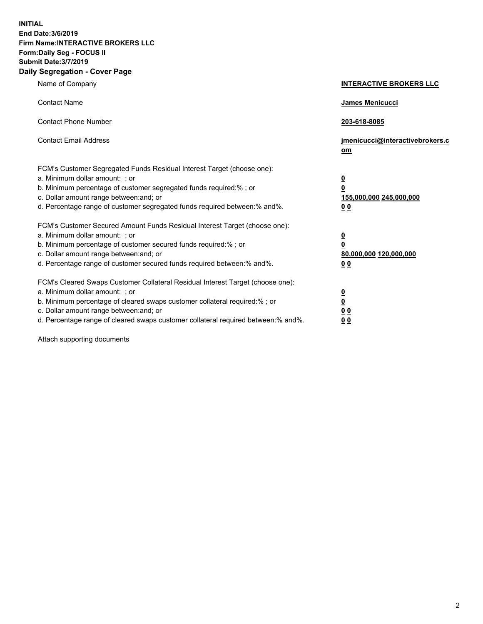**INITIAL End Date:3/6/2019 Firm Name:INTERACTIVE BROKERS LLC Form:Daily Seg - FOCUS II Submit Date:3/7/2019 Daily Segregation - Cover Page**

| Name of Company                                                                                                                                                                                                                                                                                                                | <b>INTERACTIVE BROKERS LLC</b>                                                      |
|--------------------------------------------------------------------------------------------------------------------------------------------------------------------------------------------------------------------------------------------------------------------------------------------------------------------------------|-------------------------------------------------------------------------------------|
| <b>Contact Name</b>                                                                                                                                                                                                                                                                                                            | James Menicucci                                                                     |
| <b>Contact Phone Number</b>                                                                                                                                                                                                                                                                                                    | 203-618-8085                                                                        |
| <b>Contact Email Address</b>                                                                                                                                                                                                                                                                                                   | jmenicucci@interactivebrokers.c<br>om                                               |
| FCM's Customer Segregated Funds Residual Interest Target (choose one):<br>a. Minimum dollar amount: ; or<br>b. Minimum percentage of customer segregated funds required:% ; or<br>c. Dollar amount range between: and; or<br>d. Percentage range of customer segregated funds required between:% and%.                         | $\overline{\mathbf{0}}$<br>$\overline{\mathbf{0}}$<br>155,000,000 245,000,000<br>00 |
| FCM's Customer Secured Amount Funds Residual Interest Target (choose one):<br>a. Minimum dollar amount: ; or<br>b. Minimum percentage of customer secured funds required:% ; or<br>c. Dollar amount range between: and; or<br>d. Percentage range of customer secured funds required between:% and%.                           | $\overline{\mathbf{0}}$<br>$\pmb{0}$<br>80,000,000 120,000,000<br>00                |
| FCM's Cleared Swaps Customer Collateral Residual Interest Target (choose one):<br>a. Minimum dollar amount: ; or<br>b. Minimum percentage of cleared swaps customer collateral required:% ; or<br>c. Dollar amount range between: and; or<br>d. Percentage range of cleared swaps customer collateral required between:% and%. | $\overline{\mathbf{0}}$<br>$\underline{\mathbf{0}}$<br>0 <sub>0</sub><br>00         |

Attach supporting documents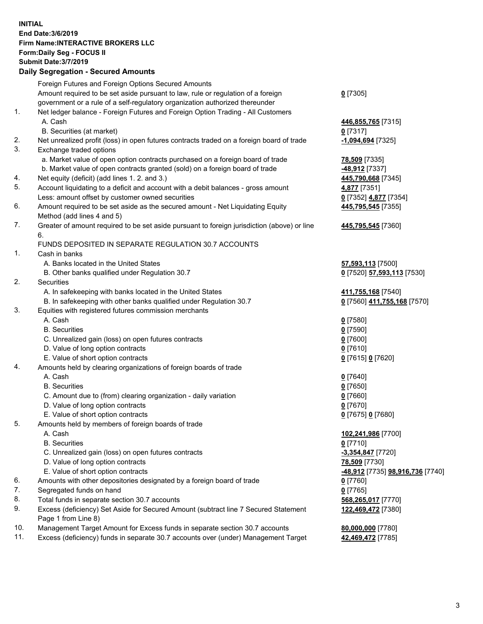## **INITIAL End Date:3/6/2019 Firm Name:INTERACTIVE BROKERS LLC Form:Daily Seg - FOCUS II Submit Date:3/7/2019 Daily Segregation - Secured Amounts**

|     | Foreign Futures and Foreign Options Secured Amounts                                                        |                                                |
|-----|------------------------------------------------------------------------------------------------------------|------------------------------------------------|
|     | Amount required to be set aside pursuant to law, rule or regulation of a foreign                           | $0$ [7305]                                     |
|     | government or a rule of a self-regulatory organization authorized thereunder                               |                                                |
| 1.  | Net ledger balance - Foreign Futures and Foreign Option Trading - All Customers                            |                                                |
|     | A. Cash                                                                                                    | 446,855,765 [7315]                             |
|     | B. Securities (at market)                                                                                  | $0$ [7317]                                     |
| 2.  | Net unrealized profit (loss) in open futures contracts traded on a foreign board of trade                  | -1,094,694 [7325]                              |
| 3.  | Exchange traded options                                                                                    |                                                |
|     | a. Market value of open option contracts purchased on a foreign board of trade                             | 78,509 [7335]                                  |
|     | b. Market value of open contracts granted (sold) on a foreign board of trade                               | -48,912 [7337]                                 |
| 4.  | Net equity (deficit) (add lines 1. 2. and 3.)                                                              | 445,790,668 [7345]                             |
| 5.  | Account liquidating to a deficit and account with a debit balances - gross amount                          | 4,877 [7351]                                   |
|     | Less: amount offset by customer owned securities                                                           | 0 [7352] 4,877 [7354]                          |
| 6.  | Amount required to be set aside as the secured amount - Net Liquidating Equity                             | 445,795,545 [7355]                             |
|     | Method (add lines 4 and 5)                                                                                 |                                                |
| 7.  | Greater of amount required to be set aside pursuant to foreign jurisdiction (above) or line<br>6.          | 445,795,545 [7360]                             |
|     | FUNDS DEPOSITED IN SEPARATE REGULATION 30.7 ACCOUNTS                                                       |                                                |
| 1.  | Cash in banks                                                                                              |                                                |
|     | A. Banks located in the United States                                                                      | 57,593,113 [7500]                              |
|     | B. Other banks qualified under Regulation 30.7                                                             | 0 [7520] 57,593,113 [7530]                     |
| 2.  | Securities                                                                                                 |                                                |
|     | A. In safekeeping with banks located in the United States                                                  | 411,755,168 [7540]                             |
|     | B. In safekeeping with other banks qualified under Regulation 30.7                                         | 0 [7560] 411,755,168 [7570]                    |
| 3.  | Equities with registered futures commission merchants                                                      |                                                |
|     | A. Cash                                                                                                    | $0$ [7580]                                     |
|     | <b>B.</b> Securities                                                                                       | $0$ [7590]                                     |
|     | C. Unrealized gain (loss) on open futures contracts                                                        | $0$ [7600]                                     |
|     | D. Value of long option contracts                                                                          | $0$ [7610]                                     |
|     | E. Value of short option contracts                                                                         | 0 [7615] 0 [7620]                              |
| 4.  | Amounts held by clearing organizations of foreign boards of trade                                          |                                                |
|     | A. Cash                                                                                                    | $0$ [7640]                                     |
|     | <b>B.</b> Securities                                                                                       | $0$ [7650]                                     |
|     | C. Amount due to (from) clearing organization - daily variation                                            | $0$ [7660]                                     |
|     | D. Value of long option contracts                                                                          | $0$ [7670]                                     |
|     | E. Value of short option contracts                                                                         | 0 [7675] 0 [7680]                              |
| 5.  | Amounts held by members of foreign boards of trade                                                         |                                                |
|     | A. Cash                                                                                                    | 102,241,986 [7700]                             |
|     | <b>B.</b> Securities                                                                                       | $0$ [7710]                                     |
|     | C. Unrealized gain (loss) on open futures contracts                                                        | -3,354,847 [7720]                              |
|     | D. Value of long option contracts                                                                          | 78,509 [7730]                                  |
|     | E. Value of short option contracts                                                                         | <u>-48,912</u> [7735] <u>98,916,736</u> [7740] |
| 6.  | Amounts with other depositories designated by a foreign board of trade                                     | $0$ [7760]                                     |
| 7.  | Segregated funds on hand                                                                                   | $0$ [7765]                                     |
| 8.  | Total funds in separate section 30.7 accounts                                                              | 568,265,017 [7770]                             |
| 9.  | Excess (deficiency) Set Aside for Secured Amount (subtract line 7 Secured Statement<br>Page 1 from Line 8) | 122,469,472 [7380]                             |
| 10. | Management Target Amount for Excess funds in separate section 30.7 accounts                                | 80,000,000 [7780]                              |
| 11. | Excess (deficiency) funds in separate 30.7 accounts over (under) Management Target                         | 42,469,472 [7785]                              |
|     |                                                                                                            |                                                |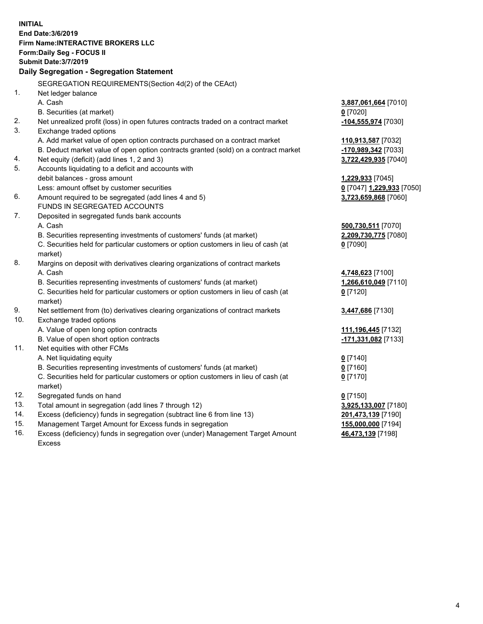**INITIAL End Date:3/6/2019 Firm Name:INTERACTIVE BROKERS LLC Form:Daily Seg - FOCUS II Submit Date:3/7/2019 Daily Segregation - Segregation Statement** SEGREGATION REQUIREMENTS(Section 4d(2) of the CEAct) 1. Net ledger balance A. Cash **3,887,061,664** [7010] B. Securities (at market) **0** [7020] 2. Net unrealized profit (loss) in open futures contracts traded on a contract market **-104,555,974** [7030] 3. Exchange traded options A. Add market value of open option contracts purchased on a contract market **110,913,587** [7032] B. Deduct market value of open option contracts granted (sold) on a contract market **-170,989,342** [7033] 4. Net equity (deficit) (add lines 1, 2 and 3) **3,722,429,935** [7040] 5. Accounts liquidating to a deficit and accounts with debit balances - gross amount **1,229,933** [7045] Less: amount offset by customer securities **0** [7047] **1,229,933** [7050] 6. Amount required to be segregated (add lines 4 and 5) **3,723,659,868** [7060] FUNDS IN SEGREGATED ACCOUNTS 7. Deposited in segregated funds bank accounts A. Cash **500,730,511** [7070] B. Securities representing investments of customers' funds (at market) **2,209,730,775** [7080] C. Securities held for particular customers or option customers in lieu of cash (at market) **0** [7090] 8. Margins on deposit with derivatives clearing organizations of contract markets A. Cash **4,748,623** [7100] B. Securities representing investments of customers' funds (at market) **1,266,610,049** [7110] C. Securities held for particular customers or option customers in lieu of cash (at market) **0** [7120] 9. Net settlement from (to) derivatives clearing organizations of contract markets **3,447,686** [7130] 10. Exchange traded options A. Value of open long option contracts **111,196,445** [7132] B. Value of open short option contracts **-171,331,082** [7133] 11. Net equities with other FCMs A. Net liquidating equity **0** [7140] B. Securities representing investments of customers' funds (at market) **0** [7160] C. Securities held for particular customers or option customers in lieu of cash (at market) **0** [7170] 12. Segregated funds on hand **0** [7150] 13. Total amount in segregation (add lines 7 through 12) **3,925,133,007** [7180] 14. Excess (deficiency) funds in segregation (subtract line 6 from line 13) **201,473,139** [7190] 15. Management Target Amount for Excess funds in segregation **155,000,000** [7194] 16. Excess (deficiency) funds in segregation over (under) Management Target Amount **46,473,139** [7198]

Excess